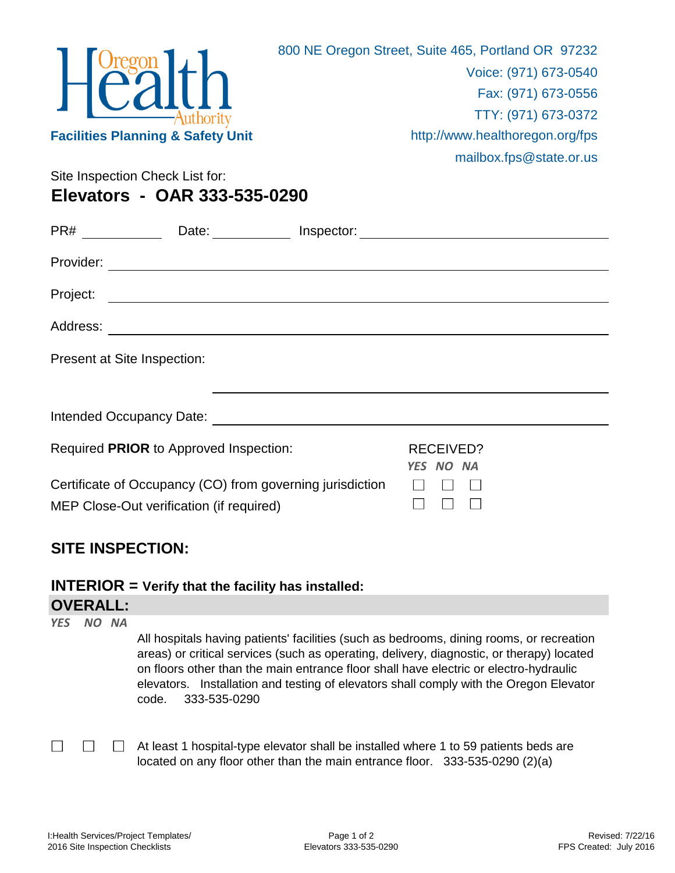|                                              | 800 NE Oregon Street, Suite 465, Portland OR 97232 |
|----------------------------------------------|----------------------------------------------------|
| $H^{Oregon}_{Call}$                          | Voice: (971) 673-0540                              |
|                                              | Fax: (971) 673-0556                                |
|                                              | TTY: (971) 673-0372                                |
| <b>Facilities Planning &amp; Safety Unit</b> | http://www.healthoregon.org/fps                    |
|                                              | mailbox.fps@state.or.us                            |
| Site Inspection Check List for:              |                                                    |
| Elevators - OAR 333-535-0290                 |                                                    |

| PR#                         | Date:                                                                                                                 | Inspector: |                                      |  |
|-----------------------------|-----------------------------------------------------------------------------------------------------------------------|------------|--------------------------------------|--|
| Provider:                   | <u> 1989 - Johann John Stoff, deutscher Stoff, der Stoff, der Stoff, der Stoff, der Stoff, der Stoff, der Stoff, </u> |            |                                      |  |
| Project:                    |                                                                                                                       |            |                                      |  |
| Address:                    | <u> 1989 - Johann John Stein, markin film ar yn y brenin y brenin y brenin y brenin y brenin y brenin y brenin y</u>  |            |                                      |  |
| Present at Site Inspection: |                                                                                                                       |            |                                      |  |
|                             |                                                                                                                       |            |                                      |  |
|                             |                                                                                                                       |            |                                      |  |
|                             | Required PRIOR to Approved Inspection:                                                                                |            | <b>RECEIVED?</b><br><b>YES NO NA</b> |  |
|                             | Certificate of Occupancy (CO) from governing jurisdiction<br>MEP Close-Out verification (if required)                 |            |                                      |  |

## **SITE INSPECTION:**

**OVERALL: INTERIOR = Verify that the facility has installed:**

| YES NO NA |                                                                                                                                                                                                                                                                                                                                                                                                   |
|-----------|---------------------------------------------------------------------------------------------------------------------------------------------------------------------------------------------------------------------------------------------------------------------------------------------------------------------------------------------------------------------------------------------------|
|           | All hospitals having patients' facilities (such as bedrooms, dining rooms, or recreation<br>areas) or critical services (such as operating, delivery, diagnostic, or therapy) located<br>on floors other than the main entrance floor shall have electric or electro-hydraulic<br>elevators. Installation and testing of elevators shall comply with the Oregon Elevator<br>333-535-0290<br>code. |
|           |                                                                                                                                                                                                                                                                                                                                                                                                   |

 $\Box$ At least 1 hospital-type elevator shall be installed where 1 to 59 patients beds are located on any floor other than the main entrance floor. 333-535-0290 (2)(a)

 $\Box$ 

 $\Box$